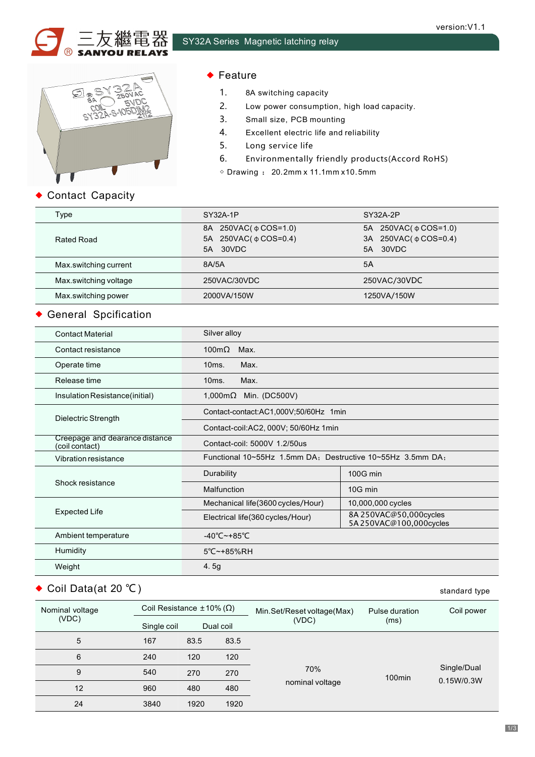



### ◆ Feature

- 1. 8A switching capacity
- 2. Low power consumption, high load capacity.
- 3. Small size, PCB mounting
- 4. Excellent electric life and reliability
- 5. Long service life
- 6. Environmentally friendly products(Accord RoHS)
- $\diamond$  Drawing : 20.2mm x 11.1mm x 10.5mm

### ◆ Contact Capacity

| Type                  | SY32A-1P                                                   | SY32A-2P                                                      |  |  |
|-----------------------|------------------------------------------------------------|---------------------------------------------------------------|--|--|
| Rated Road            | 8A 250VAC( φ COS=1.0)<br>5A 250VAC( φ COS=0.4)<br>5A 30VDC | 5A 250VAC( φ COS=1.0)<br>3A 250VAC( φ COS=0.4)<br>30VDC<br>5A |  |  |
| Max.switching current | 8A/5A                                                      | 5A                                                            |  |  |
| Max.switching voltage | 250VAC/30VDC                                               | 250VAC/30VDC                                                  |  |  |
| Max.switching power   | 2000VA/150W                                                | 1250VA/150W                                                   |  |  |

### General Spcification

| <b>Contact Material</b>                          | Silver alloy                                               |                                                   |  |  |
|--------------------------------------------------|------------------------------------------------------------|---------------------------------------------------|--|--|
| Contact resistance                               | 100m $\Omega$<br>Max.                                      |                                                   |  |  |
| Operate time                                     | Max.<br>10 <sub>ms</sub> .                                 |                                                   |  |  |
| Release time                                     | Max.<br>10ms.                                              |                                                   |  |  |
| Insulation Resistance(initial)                   | 1,000m $\Omega$ Min. (DC500V)                              |                                                   |  |  |
|                                                  | Contact-contact:AC1,000V;50/60Hz 1min                      |                                                   |  |  |
| Dielectric Strength                              | Contact-coil:AC2, 000V; 50/60Hz 1min                       |                                                   |  |  |
| Creepage and dearance distance<br>(coil contact) | Contact-coil: 5000V 1.2/50us                               |                                                   |  |  |
| Vibration resistance                             | Functional 10~55Hz 1.5mm DA: Destructive 10~55Hz 3.5mm DA: |                                                   |  |  |
|                                                  | Durability                                                 | 100G min                                          |  |  |
| Shock resistance                                 | Malfunction                                                | 10G min                                           |  |  |
|                                                  | Mechanical life(3600 cycles/Hour)                          | 10,000,000 cycles                                 |  |  |
| <b>Expected Life</b>                             | Electrical life(360 cycles/Hour)                           | 8A 250VAC@50,000cycles<br>5A 250VAC@100,000cycles |  |  |
| Ambient temperature                              | $-40^{\circ}$ C $-+85^{\circ}$ C                           |                                                   |  |  |
| Humidity                                         | 5°C~+85%RH                                                 |                                                   |  |  |
| Weight                                           | 4.5g                                                       |                                                   |  |  |
|                                                  |                                                            |                                                   |  |  |

# ◆ Coil Data(at 20 °C) standard type

| Nominal voltage<br>(VDC) | Coil Resistance $±10%$ (Ω) |      |           | Min.Set/Reset voltage(Max)<br>(VDC) | Pulse duration<br>(ms) | Coil power                |
|--------------------------|----------------------------|------|-----------|-------------------------------------|------------------------|---------------------------|
|                          | Single coil                |      | Dual coil |                                     |                        |                           |
| 5                        | 167                        | 83.5 | 83.5      |                                     |                        |                           |
| 6                        | 240                        | 120  | 120       | 70%<br>nominal voltage              | 100 <sub>min</sub>     | Single/Dual<br>0.15W/0.3W |
| 9                        | 540                        | 270  | 270       |                                     |                        |                           |
| 12                       | 960                        | 480  | 480       |                                     |                        |                           |
| 24                       | 3840                       | 1920 | 1920      |                                     |                        |                           |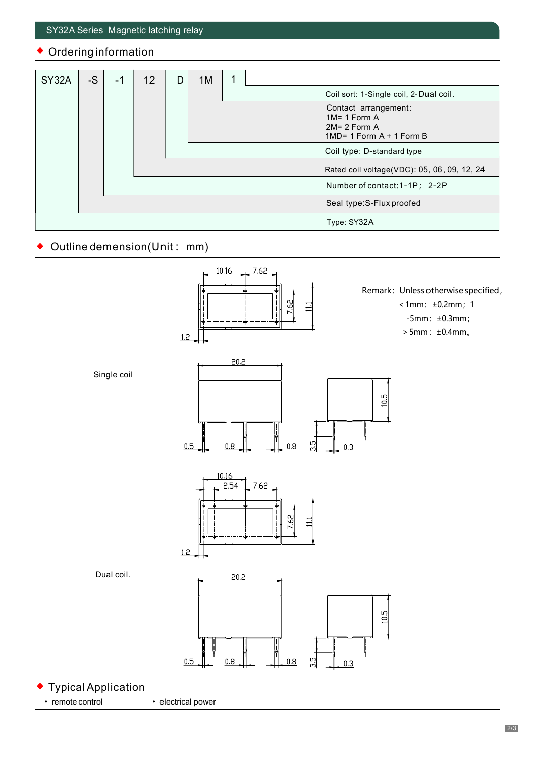## Ordering information

| SY32A | $-S$ | -1 | 12 | D | 1M |                                             |
|-------|------|----|----|---|----|---------------------------------------------|
|       |      |    |    |   |    | Coil sort: 1-Single coil, 2-Dual coil.      |
|       |      |    |    |   |    | Contact arrangement:                        |
|       |      |    |    |   |    | $1M = 1$ Form A                             |
|       |      |    |    |   |    | $2M = 2$ Form A                             |
|       |      |    |    |   |    | $1MD = 1$ Form A + 1 Form B                 |
|       |      |    |    |   |    | Coil type: D-standard type                  |
|       |      |    |    |   |    | Rated coil voltage(VDC): 05, 06, 09, 12, 24 |
|       |      |    |    |   |    | Number of contact: 1-1P; 2-2P               |
|       |      |    |    |   |    | Seal type:S-Flux proofed                    |
|       |      |    |    |   |    | Type: SY32A                                 |

#### Outline demension(Unit: mm) ٠

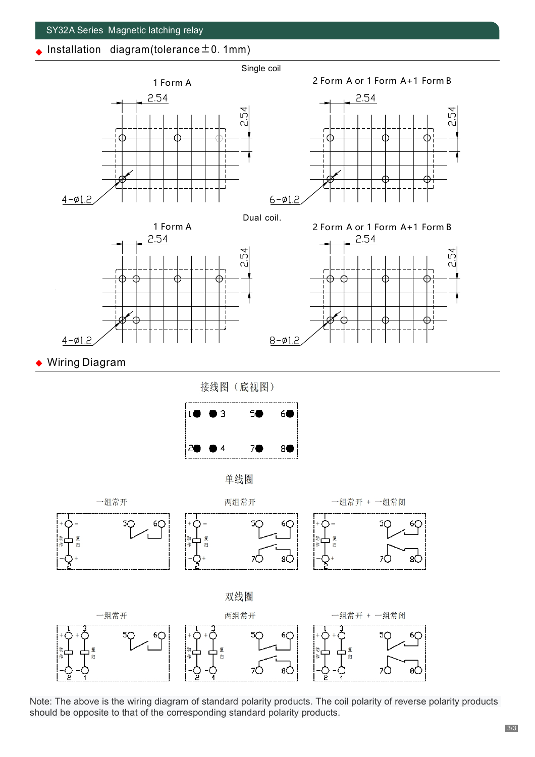#### SY32A Series Magnetic latching relay

Installation diagram(tolerance  $\pm$  0.1mm)





Dual coil.





◆ Wiring Diagram

接线图 (底视图)











Note: The above is the wiring diagram of standard polarity products. The coil polarity of reverse polarity products should be opposite to that of the corresponding standard polarity products.